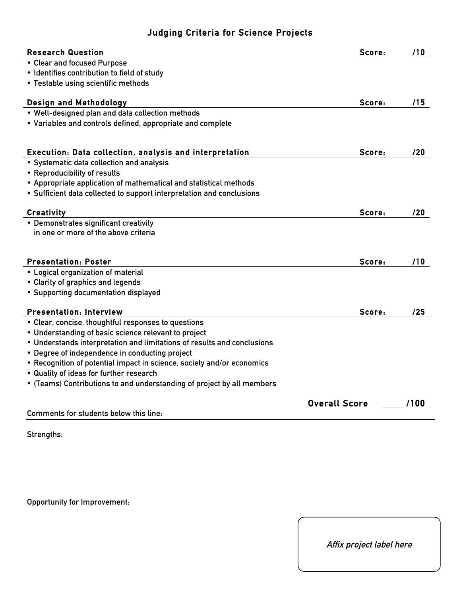## **Judging Criteria for Science Projects**

| <b>Research Question</b>                                                | Score:               | /10  |
|-------------------------------------------------------------------------|----------------------|------|
| • Clear and focused Purpose                                             |                      |      |
| • Identifies contribution to field of study                             |                      |      |
| • Testable using scientific methods                                     |                      |      |
| <b>Design and Methodology</b>                                           | Score:               | /15  |
| . Well-designed plan and data collection methods                        |                      |      |
| • Variables and controls defined, appropriate and complete              |                      |      |
| Execution: Data collection, analysis and interpretation                 | Score:               | /20  |
| • Systematic data collection and analysis                               |                      |      |
| • Reproducibility of results                                            |                      |      |
| • Appropriate application of mathematical and statistical methods       |                      |      |
| • Sufficient data collected to support interpretation and conclusions   |                      |      |
|                                                                         |                      |      |
| <b>Creativity</b>                                                       | Score:               | /20  |
| • Demonstrates significant creativity                                   |                      |      |
| in one or more of the above criteria                                    |                      |      |
|                                                                         |                      |      |
| <b>Presentation: Poster</b>                                             | Score:               | /10  |
| • Logical organization of material                                      |                      |      |
| • Clarity of graphics and legends                                       |                      |      |
| • Supporting documentation displayed                                    |                      |      |
| <b>Presentation: Interview</b>                                          | Score:               | /25  |
| • Clear, concise, thoughtful responses to questions                     |                      |      |
| • Understanding of basic science relevant to project                    |                      |      |
| • Understands interpretation and limitations of results and conclusions |                      |      |
| • Degree of independence in conducting project                          |                      |      |
| • Recognition of potential impact in science, society and/or economics  |                      |      |
| • Quality of ideas for further research                                 |                      |      |
| • (Teams) Contributions to and understanding of project by all members  |                      |      |
|                                                                         | <b>Overall Score</b> | /100 |
| Comments for students below this line:                                  |                      |      |

**Strengths:**

**Opportunity for Improvement:**

**Affix project label here**